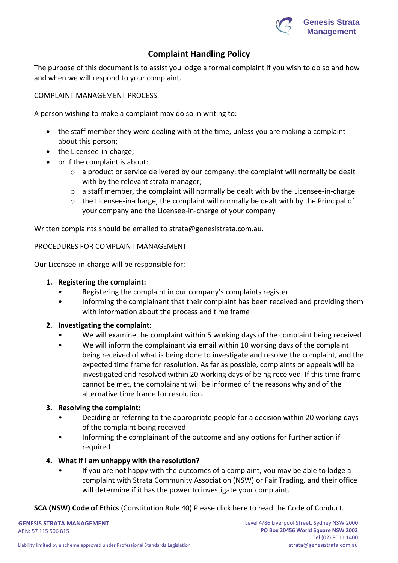

# **Complaint Handling Policy**

The purpose of this document is to assist you lodge a formal complaint if you wish to do so and how and when we will respond to your complaint.

COMPLAINT MANAGEMENT PROCESS

A person wishing to make a complaint may do so in writing to:

- the staff member they were dealing with at the time, unless you are making a complaint about this person;
- the Licensee-in-charge;
- or if the complaint is about:
	- o a product or service delivered by our company; the complaint will normally be dealt with by the relevant strata manager;
	- $\circ$  a staff member, the complaint will normally be dealt with by the Licensee-in-charge
	- o the Licensee-in-charge, the complaint will normally be dealt with by the Principal of your company and the Licensee-in-charge of your company

Written complaints should be emailed to strata@genesistrata.com.au.

#### PROCEDURES FOR COMPLAINT MANAGEMENT

Our Licensee-in-charge will be responsible for:

- **1. Registering the complaint:**
	- Registering the complaint in our company's complaints register
	- Informing the complainant that their complaint has been received and providing them with information about the process and time frame

### **2. Investigating the complaint:**

- We will examine the complaint within 5 working days of the complaint being received
- We will inform the complainant via email within 10 working days of the complaint being received of what is being done to investigate and resolve the complaint, and the expected time frame for resolution. As far as possible, complaints or appeals will be investigated and resolved within 20 working days of being received. If this time frame cannot be met, the complainant will be informed of the reasons why and of the alternative time frame for resolution.

### **3. Resolving the complaint:**

- Deciding or referring to the appropriate people for a decision within 20 working days of the complaint being received
- Informing the complainant of the outcome and any options for further action if required
- **4. What if I am unhappy with the resolution?**
	- If you are not happy with the outcomes of a complaint, you may be able to lodge a complaint with Strata Community Association (NSW) or Fair Trading, and their office will determine if it has the power to investigate your complaint.

**SCA (NSW) Code of Ethics** (Constitution Rule 40) Please [click here](https://nsw.strata.community/code-of-ethics/) to read the Code of Conduct.

**GENESIS STRATA MANAGEMENT** ABN: 57 115 506 815